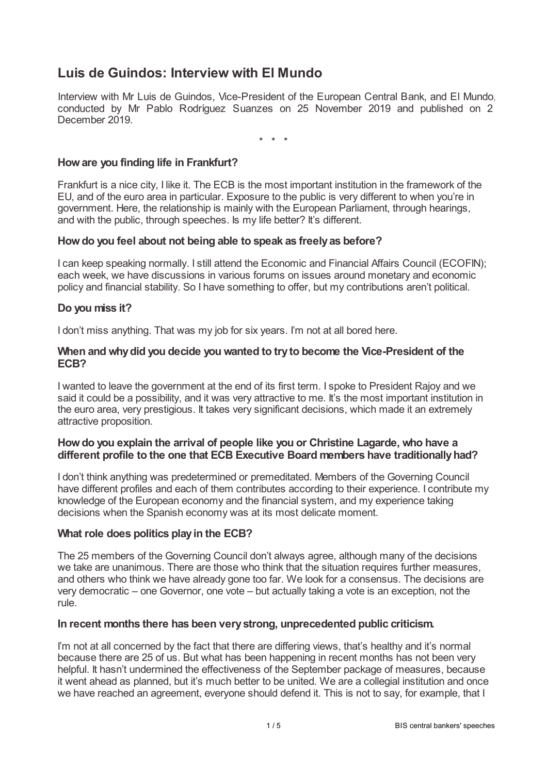# **Luis de Guindos: Interview with El Mundo**

Interview with Mr Luis de Guindos, Vice-President of the European Central Bank, and El Mundo, conducted by Mr Pablo Rodríguez Suanzes on 25 November 2019 and published on 2 December 2019.

\* \* \*

# **Howare you finding life in Frankfurt?**

Frankfurt is a nice city, I like it. The ECB is the most important institution in the framework of the EU, and of the euro area in particular. Exposure to the public is very different to when you're in government. Here, the relationship is mainly with the European Parliament, through hearings, and with the public, through speeches. Is my life better? It's different.

# **Howdo you feel about not being able to speak as freelyas before?**

I can keep speaking normally. I still attend the Economic and Financial Affairs Council (ECOFIN); each week, we have discussions in various forums on issues around monetary and economic policy and financial stability. So I have something to offer, but my contributions aren't political.

# **Do you miss it?**

I don't miss anything. That was my job for six years. I'm not at all bored here.

### **When and whydid you decide you wanted to tryto become the Vice-President of the ECB?**

I wanted to leave the government at the end of its first term. I spoke to President Rajoy and we said it could be a possibility, and it was very attractive to me. It's the most important institution in the euro area, very prestigious. It takes very significant decisions, which made it an extremely attractive proposition.

### **Howdo you explain the arrival of people like you or Christine Lagarde, who have a different profile to the one that ECB Executive Board members have traditionallyhad?**

I don't think anything was predetermined or premeditated. Members of the Governing Council have different profiles and each of them contributes according to their experience. I contribute my knowledge of the European economy and the financial system, and my experience taking decisions when the Spanish economy was at its most delicate moment.

### **What role does politics playin the ECB?**

The 25 members of the Governing Council don't always agree, although many of the decisions we take are unanimous. There are those who think that the situation requires further measures, and others who think we have already gone too far. We look for a consensus. The decisions are very democratic – one Governor, one vote – but actually taking a vote is an exception, not the rule.

### **In recent months there has been verystrong, unprecedented public criticism.**

I'm not at all concerned by the fact that there are differing views, that's healthy and it's normal because there are 25 of us. But what has been happening in recent months has not been very helpful. It hasn't undermined the effectiveness of the September package of measures, because it went ahead as planned, but it's much better to be united. We are a collegial institution and once we have reached an agreement, everyone should defend it. This is not to say, for example, that I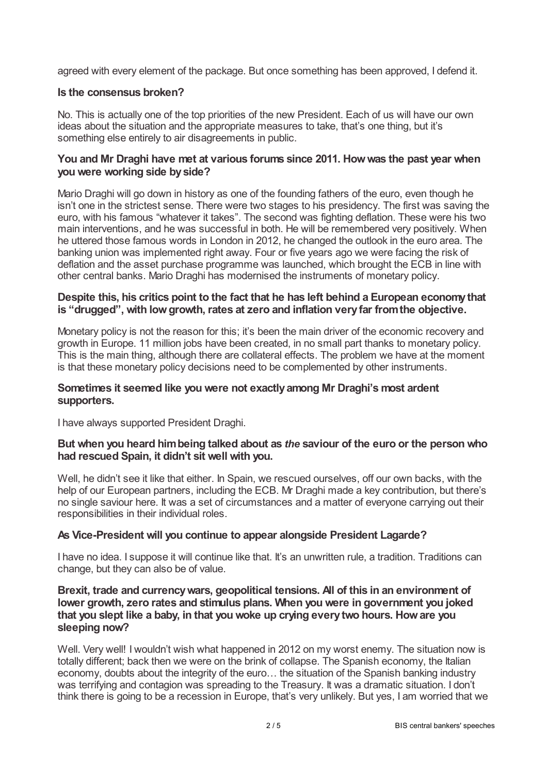agreed with every element of the package. But once something has been approved, I defend it.

# **Is the consensus broken?**

No. This is actually one of the top priorities of the new President. Each of us will have our own ideas about the situation and the appropriate measures to take, that's one thing, but it's something else entirely to air disagreements in public.

# **You and Mr Draghi have met at various forums since 2011. Howwas the past year when you were working side byside?**

Mario Draghi will go down in history as one of the founding fathers of the euro, even though he isn't one in the strictest sense. There were two stages to his presidency. The first was saving the euro, with his famous "whatever it takes". The second was fighting deflation. These were his two main interventions, and he was successful in both. He will be remembered very positively. When he uttered those famous words in London in 2012, he changed the outlook in the euro area. The banking union was implemented right away. Four or five years ago we were facing the risk of deflation and the asset purchase programme was launched, which brought the ECB in line with other central banks. Mario Draghi has modernised the instruments of monetary policy.

# **Despite this, his critics point to the fact that he has left behind a European economythat is "drugged", with lowgrowth, rates at zero and inflation veryfar fromthe objective.**

Monetary policy is not the reason for this; it's been the main driver of the economic recovery and growth in Europe. 11 million jobs have been created, in no small part thanks to monetary policy. This is the main thing, although there are collateral effects. The problem we have at the moment is that these monetary policy decisions need to be complemented by other instruments.

### **Sometimes it seemed like you were not exactlyamong Mr Draghi's most ardent supporters.**

I have always supported President Draghi.

# **But when you heard himbeing talked about as** *the* **saviour of the euro or the person who had rescued Spain, it didn't sit well with you.**

Well, he didn't see it like that either. In Spain, we rescued ourselves, off our own backs, with the help of our European partners, including the ECB. Mr Draghi made a key contribution, but there's no single saviour here. It was a set of circumstances and a matter of everyone carrying out their responsibilities in their individual roles.

# **As Vice-President will you continue to appear alongside President Lagarde?**

I have no idea. I suppose it will continue like that. It's an unwritten rule, a tradition. Traditions can change, but they can also be of value.

# **Brexit, trade and currencywars, geopolitical tensions. All of this in an environment of lower growth, zero rates and stimulus plans. When you were in government you joked that you slept like a baby, in that you woke up crying everytwo hours. Howare you sleeping now?**

Well. Very well! I wouldn't wish what happened in 2012 on my worst enemy. The situation now is totally different; back then we were on the brink of collapse. The Spanish economy, the Italian economy, doubts about the integrity of the euro… the situation of the Spanish banking industry was terrifying and contagion was spreading to the Treasury. It was a dramatic situation. I don't think there is going to be a recession in Europe, that's very unlikely. But yes, I am worried that we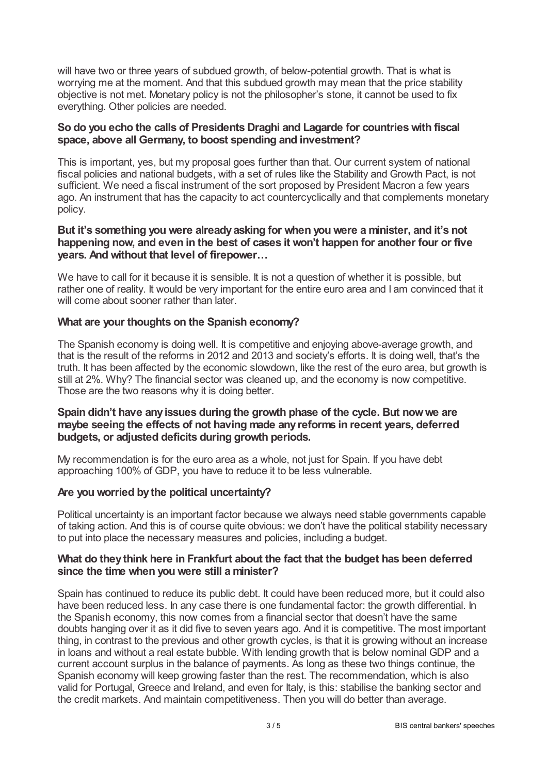will have two or three years of subdued growth, of below-potential growth. That is what is worrying me at the moment. And that this subdued growth may mean that the price stability objective is not met. Monetary policy is not the philosopher's stone, it cannot be used to fix everything. Other policies are needed.

# **So do you echo the calls of Presidents Draghi and Lagarde for countrieswith fiscal space, above all Germany, to boost spending and investment?**

This is important, yes, but my proposal goes further than that. Our current system of national fiscal policies and national budgets, with a set of rules like the Stability and Growth Pact, is not sufficient. We need a fiscal instrument of the sort proposed by President Macron a few years ago. An instrument that has the capacity to act countercyclically and that complements monetary policy.

# **But it's something you were alreadyasking for when you were a minister, and it's not happening now, and even in the best of cases it won't happen for another four or five years. And without that level of firepower…**

We have to call for it because it is sensible. It is not a question of whether it is possible, but rather one of reality. It would be very important for the entire euro area and I am convinced that it will come about sooner rather than later.

# **What are your thoughts on the Spanish economy?**

The Spanish economy is doing well. It is competitive and enjoying above-average growth, and that is the result of the reforms in 2012 and 2013 and society's efforts. It is doing well, that's the truth. It has been affected by the economic slowdown, like the rest of the euro area, but growth is still at 2%. Why? The financial sector was cleaned up, and the economy is now competitive. Those are the two reasons why it is doing better.

# **Spain didn't have anyissues during the growth phase of the cycle. But nowwe are maybe seeing the effects of not having made anyreforms in recent years, deferred budgets, or adjusted deficits during growth periods.**

My recommendation is for the euro area as a whole, not just for Spain. If you have debt approaching 100% of GDP, you have to reduce it to be less vulnerable.

### **Are you worried bythe political uncertainty?**

Political uncertainty is an important factor because we always need stable governments capable of taking action. And this is of course quite obvious: we don't have the political stability necessary to put into place the necessary measures and policies, including a budget.

### **What do theythink here in Frankfurt about the fact that the budget has been deferred since the time when you were still a minister?**

Spain has continued to reduce its public debt. It could have been reduced more, but it could also have been reduced less. In any case there is one fundamental factor: the growth differential. In the Spanish economy, this now comes from a financial sector that doesn't have the same doubts hanging over it as it did five to seven years ago. And it is competitive. The most important thing, in contrast to the previous and other growth cycles, is that it is growing without an increase in loans and without a real estate bubble. With lending growth that is below nominal GDP and a current account surplus in the balance of payments. As long as these two things continue, the Spanish economy will keep growing faster than the rest. The recommendation, which is also valid for Portugal, Greece and Ireland, and even for Italy, is this: stabilise the banking sector and the credit markets. And maintain competitiveness. Then you will do better than average.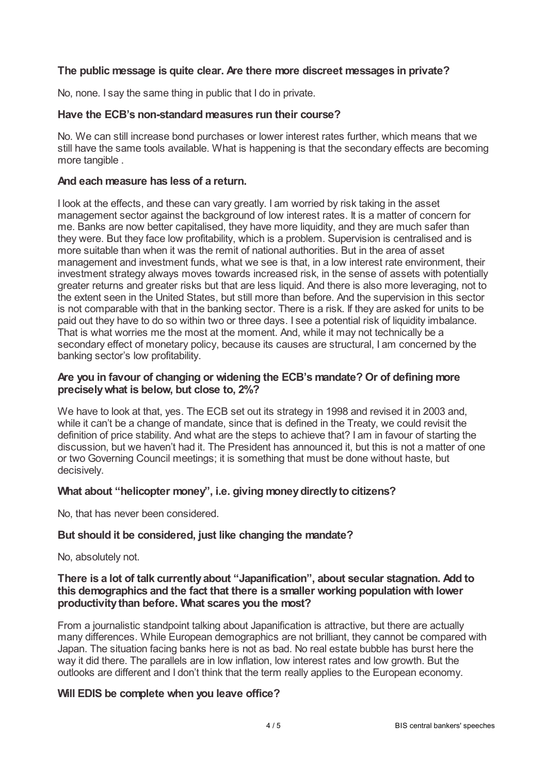# **The public message is quite clear. Are there more discreet messages in private?**

No, none. I say the same thing in public that I do in private.

#### **Have the ECB's non-standard measures run their course?**

No. We can still increase bond purchases or lower interest rates further, which means that we still have the same tools available. What is happening is that the secondary effects are becoming more tangible .

#### **And each measure has less of a return.**

I look at the effects, and these can vary greatly. I am worried by risk taking in the asset management sector against the background of low interest rates. It is a matter of concern for me. Banks are now better capitalised, they have more liquidity, and they are much safer than they were. But they face low profitability, which is a problem. Supervision is centralised and is more suitable than when it was the remit of national authorities. But in the area of asset management and investment funds, what we see is that, in a low interest rate environment, their investment strategy always moves towards increased risk, in the sense of assets with potentially greater returns and greater risks but that are less liquid. And there is also more leveraging, not to the extent seen in the United States, but still more than before. And the supervision in this sector is not comparable with that in the banking sector. There is a risk. If they are asked for units to be paid out they have to do so within two or three days. I see a potential risk of liquidity imbalance. That is what worries me the most at the moment. And, while it may not technically be a secondary effect of monetary policy, because its causes are structural, I am concerned by the banking sector's low profitability.

### **Are you in favour of changing or widening the ECB's mandate? Or of defining more preciselywhat is below, but close to, 2%?**

We have to look at that, yes. The ECB set out its strategy in 1998 and revised it in 2003 and, while it can't be a change of mandate, since that is defined in the Treaty, we could revisit the definition of price stability. And what are the steps to achieve that? I am in favour of starting the discussion, but we haven't had it. The President has announced it, but this is not a matter of one or two Governing Council meetings; it is something that must be done without haste, but decisively.

### **What about "helicopter money", i.e. giving moneydirectlyto citizens?**

No, that has never been considered.

# **But should it be considered, just like changing the mandate?**

No, absolutely not.

# **There is a lot of talk currentlyabout "Japanification", about secular stagnation. Add to this demographics and the fact that there is a smaller working population with lower productivitythan before. What scares you the most?**

From a journalistic standpoint talking about Japanification is attractive, but there are actually many differences. While European demographics are not brilliant, they cannot be compared with Japan. The situation facing banks here is not as bad. No real estate bubble has burst here the way it did there. The parallels are in low inflation, low interest rates and low growth. But the outlooks are different and I don't think that the term really applies to the European economy.

### **Will EDIS be complete when you leave office?**